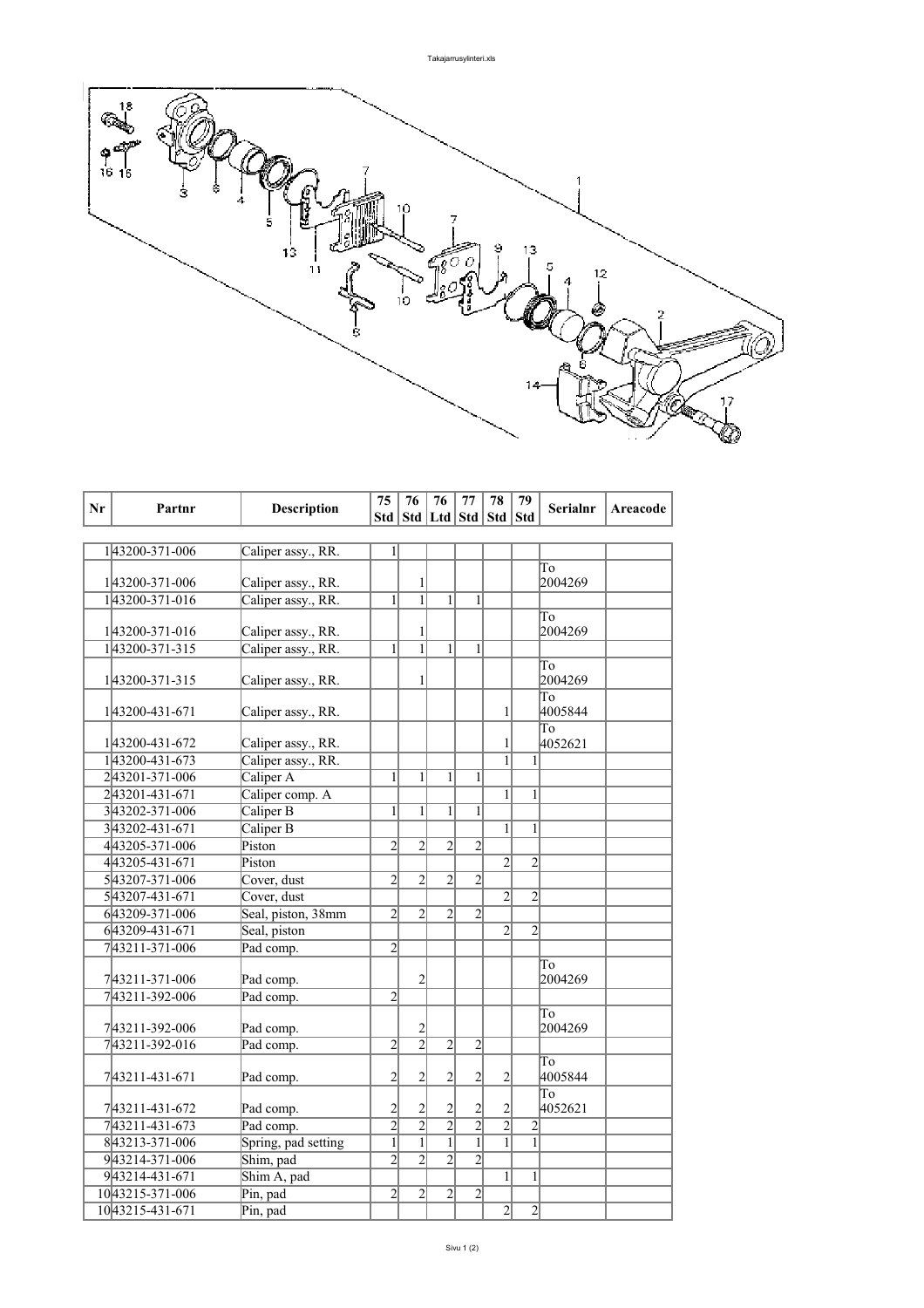

| Nr | Partnr          | <b>Description</b>  | 75                      | 76                      | 76                    | 77             | 78             | 79                      | <b>Serialnr</b> | Areacode |
|----|-----------------|---------------------|-------------------------|-------------------------|-----------------------|----------------|----------------|-------------------------|-----------------|----------|
|    |                 |                     | Std                     |                         | Std   Ltd   Std   Std |                |                | <b>Std</b>              |                 |          |
|    |                 |                     |                         |                         |                       |                |                |                         |                 |          |
|    | 143200-371-006  | Caliper assy., RR.  | $\mathbf{1}$            |                         |                       |                |                |                         |                 |          |
|    |                 |                     |                         |                         |                       |                |                |                         | To              |          |
|    | 143200-371-006  | Caliper assy., RR.  |                         | 1                       |                       |                |                |                         | 2004269         |          |
|    | 143200-371-016  | Caliper assy., RR.  | 1                       | $\mathbf{1}$            | $\mathbf{1}$          | $\mathbf{1}$   |                |                         |                 |          |
|    |                 |                     |                         |                         |                       |                |                |                         | To              |          |
|    | 143200-371-016  | Caliper assy., RR.  |                         | 1                       |                       |                |                |                         | 2004269         |          |
|    | 143200-371-315  | Caliper assy., RR.  | 1                       | $\overline{1}$          | 1                     | 1              |                |                         |                 |          |
|    |                 |                     |                         |                         |                       |                |                |                         | To              |          |
|    | 143200-371-315  | Caliper assy., RR.  |                         | 1                       |                       |                |                |                         | 2004269         |          |
|    | 1 43200-431-671 | Caliper assy., RR.  |                         |                         |                       |                | 1              |                         | To<br>4005844   |          |
|    |                 |                     |                         |                         |                       |                |                |                         | To              |          |
|    | 143200-431-672  | Caliper assy., RR.  |                         |                         |                       |                | 1              |                         | 4052621         |          |
|    | 143200-431-673  | Caliper assy., RR.  |                         |                         |                       |                | $\mathbf{1}$   | $\mathbf{1}$            |                 |          |
|    | 243201-371-006  | Caliper A           | 1                       | 1                       | 1                     | 1              |                |                         |                 |          |
|    | 243201-431-671  | Caliper comp. A     |                         |                         |                       |                | 1              | $\mathbf{1}$            |                 |          |
|    | 343202-371-006  | Caliper B           | 1                       | 1                       | $\mathbf{1}$          | 1              |                |                         |                 |          |
|    | 343202-431-671  | Caliper B           |                         |                         |                       |                | $\mathbf{1}$   | 1                       |                 |          |
|    | 443205-371-006  | Piston              | $\overline{2}$          | $\overline{2}$          | $\overline{2}$        | $\overline{2}$ |                |                         |                 |          |
|    | 443205-431-671  | Piston              |                         |                         |                       |                | $\overline{c}$ | $\overline{c}$          |                 |          |
|    | 543207-371-006  | Cover, dust         | $\overline{2}$          | $\overline{2}$          | $\overline{2}$        | $\overline{2}$ |                |                         |                 |          |
|    | 543207-431-671  | Cover, dust         |                         |                         |                       |                | $\overline{2}$ | $\overline{2}$          |                 |          |
|    | 643209-371-006  | Seal, piston, 38mm  | $\overline{2}$          | $\overline{2}$          | $\overline{2}$        | $\overline{2}$ |                |                         |                 |          |
|    | 643209-431-671  | Seal, piston        |                         |                         |                       |                | $\overline{2}$ | $\overline{2}$          |                 |          |
|    | 743211-371-006  | Pad comp.           | $\overline{2}$          |                         |                       |                |                |                         |                 |          |
|    |                 |                     |                         |                         |                       |                |                |                         | To              |          |
|    | 743211-371-006  | Pad comp.           |                         | $\overline{c}$          |                       |                |                |                         | 2004269         |          |
|    | 743211-392-006  | Pad comp.           | $\overline{2}$          |                         |                       |                |                |                         |                 |          |
|    |                 |                     |                         |                         |                       |                |                |                         | To              |          |
|    | 743211-392-006  | Pad comp.           |                         | $\overline{\mathbf{c}}$ |                       |                |                |                         | 2004269         |          |
|    | 743211-392-016  | Pad comp.           | $\overline{2}$          | $\overline{2}$          | $\overline{2}$        | $\overline{2}$ |                |                         |                 |          |
|    |                 |                     |                         |                         |                       |                |                |                         | To              |          |
|    | 743211-431-671  | Pad comp.           | $\overline{c}$          | $\overline{c}$          | $\overline{c}$        | $\overline{c}$ | 2              |                         | 4005844         |          |
|    |                 |                     |                         |                         |                       |                |                |                         | To              |          |
|    | 743211-431-672  | Pad comp.           | $\overline{\mathbf{c}}$ | 2                       | 2                     | $\overline{c}$ | 2              |                         | 4052621         |          |
|    | 743211-431-673  | Pad comp.           | $\overline{2}$          | $\overline{2}$          | $\overline{2}$        | $\overline{2}$ | $\overline{2}$ | $\overline{\mathbf{c}}$ |                 |          |
|    | 843213-371-006  | Spring, pad setting | $\mathbf{1}$            | $\mathbf{1}$            | $\overline{1}$        | $\overline{1}$ | $\mathbf{1}$   | $\overline{1}$          |                 |          |
|    | 943214-371-006  | Shim, pad           | $\overline{2}$          | $\overline{2}$          | $\overline{2}$        | $\overline{2}$ |                |                         |                 |          |
|    | 943214-431-671  | Shim A, pad         |                         |                         |                       |                | 1              | 1                       |                 |          |
|    | 1043215-371-006 | Pin, pad            | $\overline{2}$          | $\overline{c}$          | $\overline{c}$        | $\overline{c}$ |                |                         |                 |          |
|    | 1043215-431-671 | Pin, pad            |                         |                         |                       |                | $\overline{2}$ | $\overline{2}$          |                 |          |